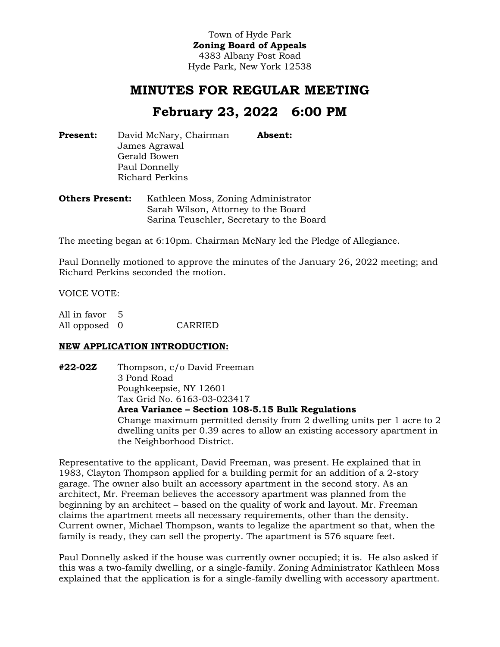Town of Hyde Park **Zoning Board of Appeals** 4383 Albany Post Road Hyde Park, New York 12538

## **MINUTES FOR REGULAR MEETING**

# **February 23, 2022 6:00 PM**

**Present:** David McNary, Chairman James Agrawal Gerald Bowen Paul Donnelly Richard Perkins **Absent:** 

**Others Present:** Kathleen Moss, Zoning Administrator Sarah Wilson, Attorney to the Board Sarina Teuschler, Secretary to the Board

The meeting began at 6:10pm. Chairman McNary led the Pledge of Allegiance.

Paul Donnelly motioned to approve the minutes of the January 26, 2022 meeting; and Richard Perkins seconded the motion.

VOICE VOTE:

| All in favor 5 |         |
|----------------|---------|
| All opposed 0  | CARRIED |

#### **NEW APPLICATION INTRODUCTION:**

**#22-02Z** Thompson, c/o David Freeman 3 Pond Road Poughkeepsie, NY 12601 Tax Grid No. 6163-03-023417 **Area Variance – Section 108-5.15 Bulk Regulations** Change maximum permitted density from 2 dwelling units per 1 acre to 2

dwelling units per 0.39 acres to allow an existing accessory apartment in the Neighborhood District.

Representative to the applicant, David Freeman, was present. He explained that in 1983, Clayton Thompson applied for a building permit for an addition of a 2-story garage. The owner also built an accessory apartment in the second story. As an architect, Mr. Freeman believes the accessory apartment was planned from the beginning by an architect – based on the quality of work and layout. Mr. Freeman claims the apartment meets all necessary requirements, other than the density. Current owner, Michael Thompson, wants to legalize the apartment so that, when the family is ready, they can sell the property. The apartment is 576 square feet.

Paul Donnelly asked if the house was currently owner occupied; it is. He also asked if this was a two-family dwelling, or a single-family. Zoning Administrator Kathleen Moss explained that the application is for a single-family dwelling with accessory apartment.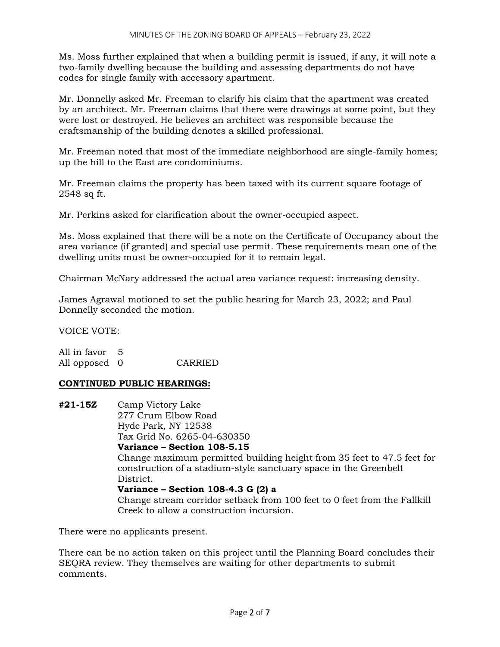Ms. Moss further explained that when a building permit is issued, if any, it will note a two-family dwelling because the building and assessing departments do not have codes for single family with accessory apartment.

Mr. Donnelly asked Mr. Freeman to clarify his claim that the apartment was created by an architect. Mr. Freeman claims that there were drawings at some point, but they were lost or destroyed. He believes an architect was responsible because the craftsmanship of the building denotes a skilled professional.

Mr. Freeman noted that most of the immediate neighborhood are single-family homes; up the hill to the East are condominiums.

Mr. Freeman claims the property has been taxed with its current square footage of 2548 sq ft.

Mr. Perkins asked for clarification about the owner-occupied aspect.

Ms. Moss explained that there will be a note on the Certificate of Occupancy about the area variance (if granted) and special use permit. These requirements mean one of the dwelling units must be owner-occupied for it to remain legal.

Chairman McNary addressed the actual area variance request: increasing density.

James Agrawal motioned to set the public hearing for March 23, 2022; and Paul Donnelly seconded the motion.

VOICE VOTE:

All in favor 5 All opposed 0 CARRIED

#### **CONTINUED PUBLIC HEARINGS:**

**#21-15Z** Camp Victory Lake 277 Crum Elbow Road Hyde Park, NY 12538 Tax Grid No. 6265-04-630350 **Variance – Section 108-5.15** Change maximum permitted building height from 35 feet to 47.5 feet for construction of a stadium-style sanctuary space in the Greenbelt District. **Variance – Section 108-4.3 G (2) a** Change stream corridor setback from 100 feet to 0 feet from the Fallkill Creek to allow a construction incursion.

There were no applicants present.

There can be no action taken on this project until the Planning Board concludes their SEQRA review. They themselves are waiting for other departments to submit comments.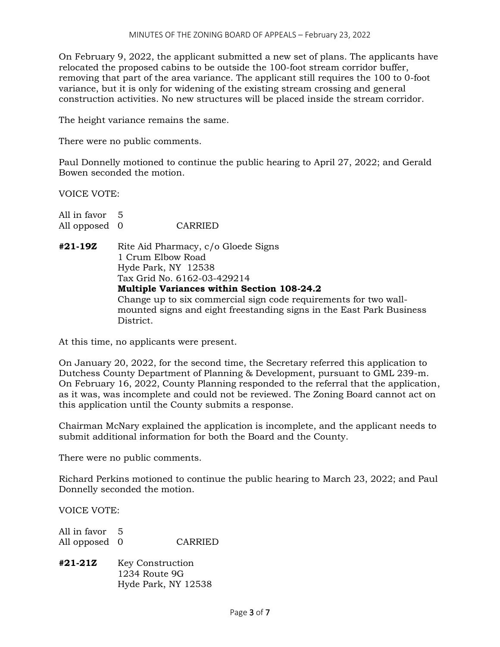On February 9, 2022, the applicant submitted a new set of plans. The applicants have relocated the proposed cabins to be outside the 100-foot stream corridor buffer, removing that part of the area variance. The applicant still requires the 100 to 0-foot variance, but it is only for widening of the existing stream crossing and general construction activities. No new structures will be placed inside the stream corridor.

The height variance remains the same.

There were no public comments.

Paul Donnelly motioned to continue the public hearing to April 27, 2022; and Gerald Bowen seconded the motion.

VOICE VOTE:

| All in favor 5                                                   |                                                                      |  |  |  |
|------------------------------------------------------------------|----------------------------------------------------------------------|--|--|--|
| All opposed 0                                                    | CARRIED                                                              |  |  |  |
| #21-19Z                                                          | Rite Aid Pharmacy, c/o Gloede Signs                                  |  |  |  |
|                                                                  | 1 Crum Elbow Road                                                    |  |  |  |
|                                                                  | Hyde Park, NY 12538                                                  |  |  |  |
|                                                                  | Tax Grid No. 6162-03-429214                                          |  |  |  |
|                                                                  | Multiple Variances within Section 108-24.2                           |  |  |  |
| Change up to six commercial sign code requirements for two wall- |                                                                      |  |  |  |
|                                                                  | mounted signs and eight freestanding signs in the East Park Business |  |  |  |
|                                                                  | District.                                                            |  |  |  |

At this time, no applicants were present.

On January 20, 2022, for the second time, the Secretary referred this application to Dutchess County Department of Planning & Development, pursuant to GML 239-m. On February 16, 2022, County Planning responded to the referral that the application, as it was, was incomplete and could not be reviewed. The Zoning Board cannot act on this application until the County submits a response.

Chairman McNary explained the application is incomplete, and the applicant needs to submit additional information for both the Board and the County.

There were no public comments.

Richard Perkins motioned to continue the public hearing to March 23, 2022; and Paul Donnelly seconded the motion.

VOICE VOTE:

| All in favor 5 |                |
|----------------|----------------|
| All opposed 0  | <b>CARRIED</b> |

**#21-21Z** Key Construction 1234 Route 9G Hyde Park, NY 12538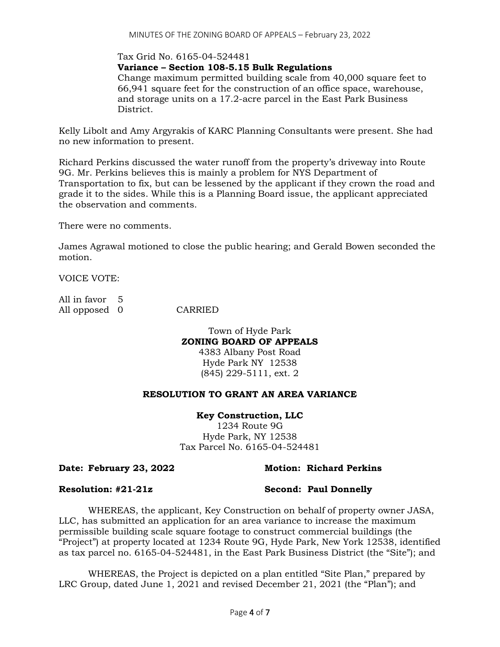### Tax Grid No. 6165-04-524481

**Variance – Section 108-5.15 Bulk Regulations**

Change maximum permitted building scale from 40,000 square feet to 66,941 square feet for the construction of an office space, warehouse, and storage units on a 17.2-acre parcel in the East Park Business District.

Kelly Libolt and Amy Argyrakis of KARC Planning Consultants were present. She had no new information to present.

Richard Perkins discussed the water runoff from the property's driveway into Route 9G. Mr. Perkins believes this is mainly a problem for NYS Department of Transportation to fix, but can be lessened by the applicant if they crown the road and grade it to the sides. While this is a Planning Board issue, the applicant appreciated the observation and comments.

There were no comments.

James Agrawal motioned to close the public hearing; and Gerald Bowen seconded the motion.

VOICE VOTE:

| All in favor 5 |  |
|----------------|--|
| All opposed 0  |  |

**CARRIED** 

Town of Hyde Park **ZONING BOARD OF APPEALS** 4383 Albany Post Road Hyde Park NY 12538 (845) 229-5111, ext. 2

#### **RESOLUTION TO GRANT AN AREA VARIANCE**

#### **Key Construction, LLC**

1234 Route 9G Hyde Park, NY 12538 Tax Parcel No. 6165-04-524481

#### **Date: February 23, 2022 Motion: Richard Perkins**

**Resolution: #21-21z Second: Paul Donnelly** 

WHEREAS, the applicant, Key Construction on behalf of property owner JASA, LLC, has submitted an application for an area variance to increase the maximum permissible building scale square footage to construct commercial buildings (the "Project") at property located at 1234 Route 9G, Hyde Park, New York 12538, identified as tax parcel no. 6165-04-524481, in the East Park Business District (the "Site"); and

WHEREAS, the Project is depicted on a plan entitled "Site Plan," prepared by LRC Group, dated June 1, 2021 and revised December 21, 2021 (the "Plan"); and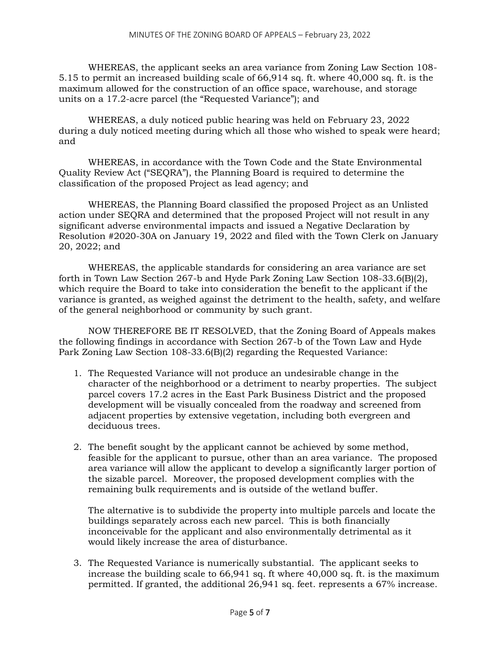WHEREAS, the applicant seeks an area variance from Zoning Law Section 108- 5.15 to permit an increased building scale of 66,914 sq. ft. where 40,000 sq. ft. is the maximum allowed for the construction of an office space, warehouse, and storage units on a 17.2-acre parcel (the "Requested Variance"); and

WHEREAS, a duly noticed public hearing was held on February 23, 2022 during a duly noticed meeting during which all those who wished to speak were heard; and

WHEREAS, in accordance with the Town Code and the State Environmental Quality Review Act ("SEQRA"), the Planning Board is required to determine the classification of the proposed Project as lead agency; and

WHEREAS, the Planning Board classified the proposed Project as an Unlisted action under SEQRA and determined that the proposed Project will not result in any significant adverse environmental impacts and issued a Negative Declaration by Resolution #2020-30A on January 19, 2022 and filed with the Town Clerk on January 20, 2022; and

WHEREAS, the applicable standards for considering an area variance are set forth in Town Law Section 267-b and Hyde Park Zoning Law Section 108-33.6(B)(2), which require the Board to take into consideration the benefit to the applicant if the variance is granted, as weighed against the detriment to the health, safety, and welfare of the general neighborhood or community by such grant.

NOW THEREFORE BE IT RESOLVED, that the Zoning Board of Appeals makes the following findings in accordance with Section 267-b of the Town Law and Hyde Park Zoning Law Section 108-33.6(B)(2) regarding the Requested Variance:

- 1. The Requested Variance will not produce an undesirable change in the character of the neighborhood or a detriment to nearby properties. The subject parcel covers 17.2 acres in the East Park Business District and the proposed development will be visually concealed from the roadway and screened from adjacent properties by extensive vegetation, including both evergreen and deciduous trees.
- 2. The benefit sought by the applicant cannot be achieved by some method, feasible for the applicant to pursue, other than an area variance. The proposed area variance will allow the applicant to develop a significantly larger portion of the sizable parcel. Moreover, the proposed development complies with the remaining bulk requirements and is outside of the wetland buffer.

The alternative is to subdivide the property into multiple parcels and locate the buildings separately across each new parcel. This is both financially inconceivable for the applicant and also environmentally detrimental as it would likely increase the area of disturbance.

3. The Requested Variance is numerically substantial. The applicant seeks to increase the building scale to 66,941 sq. ft where 40,000 sq. ft. is the maximum permitted. If granted, the additional 26,941 sq. feet. represents a 67% increase.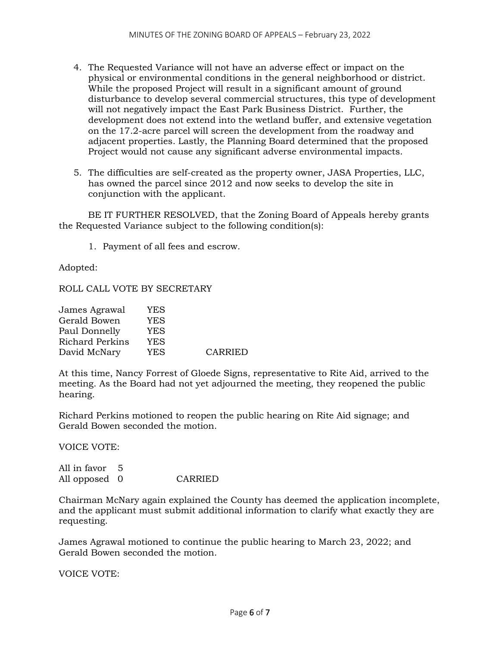- 4. The Requested Variance will not have an adverse effect or impact on the physical or environmental conditions in the general neighborhood or district. While the proposed Project will result in a significant amount of ground disturbance to develop several commercial structures, this type of development will not negatively impact the East Park Business District. Further, the development does not extend into the wetland buffer, and extensive vegetation on the 17.2-acre parcel will screen the development from the roadway and adjacent properties. Lastly, the Planning Board determined that the proposed Project would not cause any significant adverse environmental impacts.
- 5. The difficulties are self-created as the property owner, JASA Properties, LLC, has owned the parcel since 2012 and now seeks to develop the site in conjunction with the applicant.

BE IT FURTHER RESOLVED, that the Zoning Board of Appeals hereby grants the Requested Variance subject to the following condition(s):

1. Payment of all fees and escrow.

Adopted:

ROLL CALL VOTE BY SECRETARY

| YES        |                |
|------------|----------------|
| YES        |                |
| YES        |                |
| <b>YES</b> |                |
| YES        | <b>CARRIED</b> |
|            |                |

At this time, Nancy Forrest of Gloede Signs, representative to Rite Aid, arrived to the meeting. As the Board had not yet adjourned the meeting, they reopened the public hearing.

Richard Perkins motioned to reopen the public hearing on Rite Aid signage; and Gerald Bowen seconded the motion.

VOICE VOTE:

All in favor 5 All opposed 0 CARRIED

Chairman McNary again explained the County has deemed the application incomplete, and the applicant must submit additional information to clarify what exactly they are requesting.

James Agrawal motioned to continue the public hearing to March 23, 2022; and Gerald Bowen seconded the motion.

VOICE VOTE: